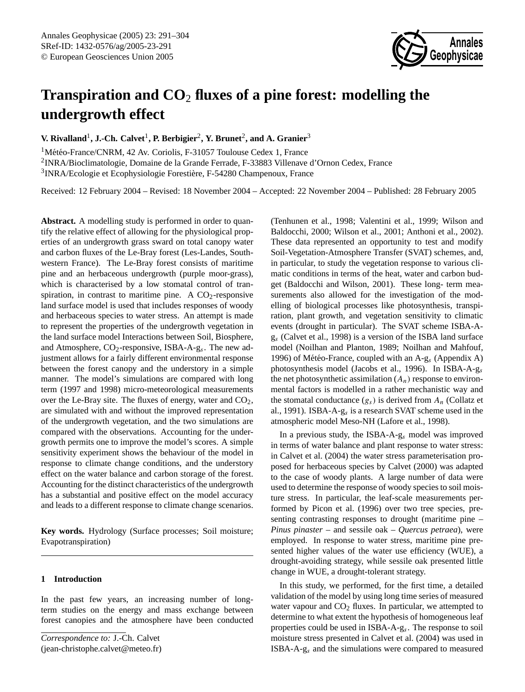# **Transpiration and CO**<sup>2</sup> **fluxes of a pine forest: modelling the undergrowth effect**

**V. Rivalland<sup>1</sup>, J.-Ch. Calvet<sup>1</sup>, P. Berbigier<sup>2</sup>, Y. Brunet<sup>2</sup>, and A. Granier<sup>3</sup>** 

 $1$ Météo-France/CNRM, 42 Av. Coriolis, F-31057 Toulouse Cedex 1, France <sup>2</sup>INRA/Bioclimatologie, Domaine de la Grande Ferrade, F-33883 Villenave d'Ornon Cedex, France <sup>3</sup>INRA/Ecologie et Ecophysiologie Forestière, F-54280 Champenoux, France

Received: 12 February 2004 – Revised: 18 November 2004 – Accepted: 22 November 2004 – Published: 28 February 2005

**Abstract.** A modelling study is performed in order to quantify the relative effect of allowing for the physiological properties of an undergrowth grass sward on total canopy water and carbon fluxes of the Le-Bray forest (Les-Landes, Southwestern France). The Le-Bray forest consists of maritime pine and an herbaceous undergrowth (purple moor-grass), which is characterised by a low stomatal control of transpiration, in contrast to maritime pine. A  $CO<sub>2</sub>$ -responsive land surface model is used that includes responses of woody and herbaceous species to water stress. An attempt is made to represent the properties of the undergrowth vegetation in the land surface model Interactions between Soil, Biosphere, and Atmosphere,  $CO_2$ -responsive, ISBA-A- $g_s$ . The new adjustment allows for a fairly different environmental response between the forest canopy and the understory in a simple manner. The model's simulations are compared with long term (1997 and 1998) micro-meteorological measurements over the Le-Bray site. The fluxes of energy, water and  $CO<sub>2</sub>$ , are simulated with and without the improved representation of the undergrowth vegetation, and the two simulations are compared with the observations. Accounting for the undergrowth permits one to improve the model's scores. A simple sensitivity experiment shows the behaviour of the model in response to climate change conditions, and the understory effect on the water balance and carbon storage of the forest. Accounting for the distinct characteristics of the undergrowth has a substantial and positive effect on the model accuracy and leads to a different response to climate change scenarios.

**Key words.** Hydrology (Surface processes; Soil moisture; Evapotranspiration)

# **1 Introduction**

In the past few years, an increasing number of longterm studies on the energy and mass exchange between forest canopies and the atmosphere have been conducted

<span id="page-0-0"></span>*Correspondence to:* J.-Ch. Calvet (jean-christophe.calvet@meteo.fr)

(Tenhunen et al., 1998; Valentini et al., 1999; Wilson and Baldocchi, 2000; Wilson et al., 2001; Anthoni et al., 2002). These data represented an opportunity to test and modify Soil-Vegetation-Atmosphere Transfer (SVAT) schemes, and, in particular, to study the vegetation response to various climatic conditions in terms of the heat, water and carbon budget (Baldocchi and Wilson, 2001). These long- term measurements also allowed for the investigation of the modelling of biological processes like photosynthesis, transpiration, plant growth, and vegetation sensitivity to climatic events (drought in particular). The SVAT scheme ISBA-Ag<sup>s</sup> (Calvet et al., 1998) is a version of the ISBA land surface model (Noilhan and Planton, 1989; Noilhan and Mahfouf, 1996) of Météo-France, coupled with an  $A-g_s$  (Appendix A) photosynthesis model (Jacobs et al., 1996). In ISBA-A-g<sup>s</sup> the net photosynthetic assimilation  $(A_n)$  response to environmental factors is modelled in a rather mechanistic way and the stomatal conductance  $(g_s)$  is derived from  $A_n$  (Collatz et al., 1991). ISBA-A- $g_s$  is a research SVAT scheme used in the atmospheric model Meso-NH (Lafore et al., 1998).

In a previous study, the ISBA-A-g<sup>s</sup> model was improved in terms of water balance and plant response to water stress: in Calvet et al. (2004) the water stress parameterisation proposed for herbaceous species by Calvet (2000) was adapted to the case of woody plants. A large number of data were used to determine the response of woody species to soil moisture stress. In particular, the leaf-scale measurements performed by Picon et al. (1996) over two tree species, presenting contrasting responses to drought (maritime pine – *Pinus pinaster* – and sessile oak – *Quercus petraea*), were employed. In response to water stress, maritime pine presented higher values of the water use efficiency (WUE), a drought-avoiding strategy, while sessile oak presented little change in WUE, a drought-tolerant strategy.

In this study, we performed, for the first time, a detailed validation of the model by using long time series of measured water vapour and  $CO<sub>2</sub>$  fluxes. In particular, we attempted to determine to what extent the hypothesis of homogeneous leaf properties could be used in ISBA-A-g<sup>s</sup> . The response to soil moisture stress presented in Calvet et al. (2004) was used in ISBA-A-g<sup>s</sup> and the simulations were compared to measured

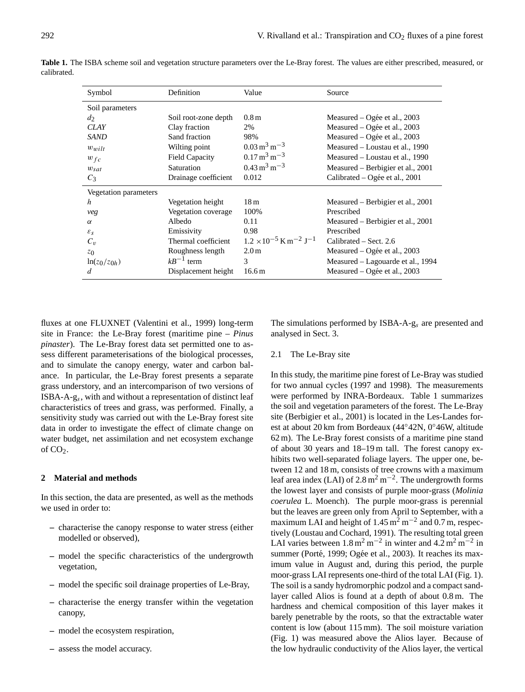| Symbol                | Definition            | Value                                                  | Source                            |  |  |
|-----------------------|-----------------------|--------------------------------------------------------|-----------------------------------|--|--|
| Soil parameters       |                       |                                                        |                                   |  |  |
| $d_2$                 | Soil root-zone depth  | 0.8 <sub>m</sub>                                       | Measured – Ogée et al., 2003      |  |  |
| CLAY                  | Clay fraction         | 2%                                                     | Measured – Ogée et al., $2003$    |  |  |
| SAND                  | Sand fraction         | 98%                                                    | Measured – Ogée et al., 2003      |  |  |
| $w_{wilt}$            | Wilting point         | $0.03 \,\mathrm{m}^3 \,\mathrm{m}^{-3}$                | Measured – Loustau et al., 1990   |  |  |
| $w_{fc}$              | <b>Field Capacity</b> | $0.17 \,\mathrm{m}^3 \,\mathrm{m}^{-3}$                | Measured – Loustau et al., 1990   |  |  |
| $w_{sat}$             | Saturation            | $0.43 \,\mathrm{m}^3 \,\mathrm{m}^{-3}$                | Measured – Berbigier et al., 2001 |  |  |
| $C_3$                 | Drainage coefficient  | 0.012                                                  | Calibrated – Ogée et al., 2001    |  |  |
| Vegetation parameters |                       |                                                        |                                   |  |  |
| h                     | Vegetation height     | 18 <sub>m</sub>                                        | Measured – Berbigier et al., 2001 |  |  |
| veg                   | Vegetation coverage   | 100\%                                                  | Prescribed                        |  |  |
| $\alpha$              | Albedo                | 0.11                                                   | Measured – Berbigier et al., 2001 |  |  |
| $\varepsilon_{s}$     | Emissivity            | 0.98                                                   | Prescribed                        |  |  |
| $C_v$                 | Thermal coefficient   | $1.2 \times 10^{-5}$ K m <sup>-2</sup> J <sup>-1</sup> | Calibrated – Sect. 2.6            |  |  |
| z <sub>0</sub>        | Roughness length      | 2.0 <sub>m</sub>                                       | Measured - Ogée et al., 2003      |  |  |
| $ln(z_0/z_{0h})$      | $kB^{-1}$ term        | 3                                                      | Measured – Lagouarde et al., 1994 |  |  |
| d                     | Displacement height   | 16.6 <sub>m</sub>                                      | Measured – Ogée et al., $2003$    |  |  |

**Table 1.** The ISBA scheme soil and vegetation structure parameters over the Le-Bray forest. The values are either prescribed, measured, or calibrated.

fluxes at one FLUXNET (Valentini et al., 1999) long-term site in France: the Le-Bray forest (maritime pine – *Pinus pinaster*). The Le-Bray forest data set permitted one to assess different parameterisations of the biological processes, and to simulate the canopy energy, water and carbon balance. In particular, the Le-Bray forest presents a separate grass understory, and an intercomparison of two versions of ISBA-A-g<sup>s</sup> , with and without a representation of distinct leaf characteristics of trees and grass, was performed. Finally, a sensitivity study was carried out with the Le-Bray forest site data in order to investigate the effect of climate change on water budget, net assimilation and net ecosystem exchange of  $CO<sub>2</sub>$ .

## **2 Material and methods**

In this section, the data are presented, as well as the methods we used in order to:

- **–** characterise the canopy response to water stress (either modelled or observed),
- **–** model the specific characteristics of the undergrowth vegetation,
- **–** model the specific soil drainage properties of Le-Bray,
- **–** characterise the energy transfer within the vegetation canopy,
- **–** model the ecosystem respiration,
- **–** assess the model accuracy.

The simulations performed by ISBA-A-g<sup>s</sup> are presented and analysed in Sect. 3.

#### 2.1 The Le-Bray site

In this study, the maritime pine forest of Le-Bray was studied for two annual cycles (1997 and 1998). The measurements were performed by INRA-Bordeaux. Table 1 summarizes the soil and vegetation parameters of the forest. The Le-Bray site (Berbigier et al., 2001) is located in the Les-Landes forest at about 20 km from Bordeaux (44◦42N, 0◦46W, altitude 62 m). The Le-Bray forest consists of a maritime pine stand of about 30 years and 18–19 m tall. The forest canopy exhibits two well-separated foliage layers. The upper one, between 12 and 18 m, consists of tree crowns with a maximum leaf area index (LAI) of 2.8 m<sup>2</sup> m<sup>-2</sup>. The undergrowth forms the lowest layer and consists of purple moor-grass (*Molinia coerulea* L. Moench). The purple moor-grass is perennial but the leaves are green only from April to September, with a maximum LAI and height of 1.45 m<sup>2</sup> m<sup>-2</sup> and 0.7 m, respectively (Loustau and Cochard, 1991). The resulting total green LAI varies between  $1.8 \text{ m}^2 \text{ m}^{-2}$  in winter and  $4.2 \text{ m}^2 \text{ m}^{-2}$  in summer (Porté, 1999; Ogée et al., 2003). It reaches its maximum value in August and, during this period, the purple moor-grass LAI represents one-third of the total LAI (Fig. 1). The soil is a sandy hydromorphic podzol and a compact sandlayer called Alios is found at a depth of about 0.8 m. The hardness and chemical composition of this layer makes it barely penetrable by the roots, so that the extractable water content is low (about 115 mm). The soil moisture variation (Fig. 1) was measured above the Alios layer. Because of the low hydraulic conductivity of the Alios layer, the vertical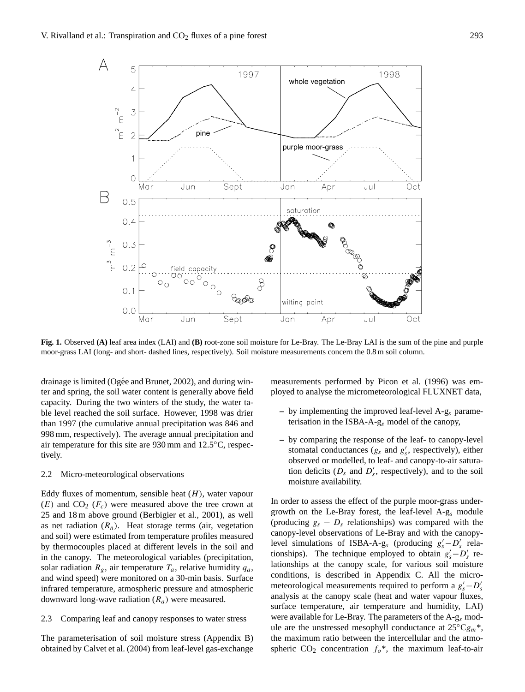

**Fig. 1.** Observed **(A)** leaf area index (LAI) and **(B)** root-zone soil moisture for Le-Bray. The Le-Bray LAI is the sum of the pine and purple moor-grass LAI (long- and short- dashed lines, respectively). Soil moisture measurements concern the 0.8 m soil column.

drainage is limited (Ogée and Brunet, 2002), and during winter and spring, the soil water content is generally above field capacity. During the two winters of the study, the water table level reached the soil surface. However, 1998 was drier than 1997 (the cumulative annual precipitation was 846 and 998 mm, respectively). The average annual precipitation and air temperature for this site are 930 mm and 12.5◦C, respectively.

#### 2.2 Micro-meteorological observations

Eddy fluxes of momentum, sensible heat  $(H)$ , water vapour  $(E)$  and  $CO<sub>2</sub>$  ( $F<sub>c</sub>$ ) were measured above the tree crown at 25 and 18 m above ground (Berbigier et al., 2001), as well as net radiation  $(R_n)$ . Heat storage terms (air, vegetation and soil) were estimated from temperature profiles measured by thermocouples placed at different levels in the soil and in the canopy. The meteorological variables (precipitation, solar radiation  $R_g$ , air temperature  $T_a$ , relative humidity  $q_a$ , and wind speed) were monitored on a 30-min basis. Surface infrared temperature, atmospheric pressure and atmospheric downward long-wave radiation  $(R_a)$  were measured.

2.3 Comparing leaf and canopy responses to water stress

The parameterisation of soil moisture stress (Appendix B) obtained by Calvet et al. (2004) from leaf-level gas-exchange measurements performed by Picon et al. (1996) was employed to analyse the micrometeorological FLUXNET data,

- **–** by implementing the improved leaf-level A-g<sup>s</sup> parameterisation in the ISBA-A- $g_s$  model of the canopy,
- **–** by comparing the response of the leaf- to canopy-level stomatal conductances  $(g_s \text{ and } g'_s, \text{ respectively})$ , either observed or modelled, to leaf- and canopy-to-air saturation deficits ( $D_s$  and  $D'_s$ , respectively), and to the soil moisture availability.

In order to assess the effect of the purple moor-grass undergrowth on the Le-Bray forest, the leaf-level A-g<sup>s</sup> module (producing  $g_s - D_s$  relationships) was compared with the canopy-level observations of Le-Bray and with the canopylevel simulations of ISBA-A-g<sub>s</sub> (producing  $g'_s - D'_s$  relationships). The technique employed to obtain  $g'_s - D'_s$  relationships at the canopy scale, for various soil moisture conditions, is described in Appendix C. All the micrometeorological measurements required to perform a  $g'_{s} - D'_{s}$ analysis at the canopy scale (heat and water vapour fluxes, surface temperature, air temperature and humidity, LAI) were available for Le-Bray. The parameters of the  $A-g_s$  module are the unstressed mesophyll conductance at  $25^{\circ}Cg_m$ <sup>\*</sup>, the maximum ratio between the intercellular and the atmospheric  $CO_2$  concentration  $f_0^*$ , the maximum leaf-to-air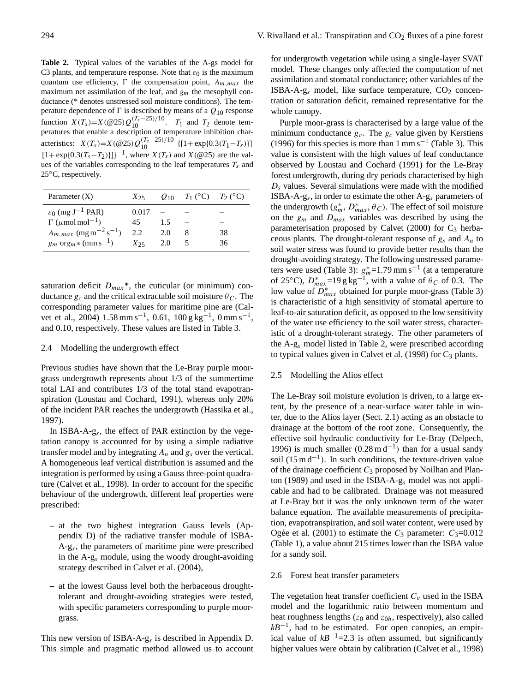**Table 2.** Typical values of the variables of the A-gs model for C3 plants, and temperature response. Note that  $\varepsilon_0$  is the maximum quantum use efficiency,  $\Gamma$  the compensation point,  $A_{m,max}$  the maximum net assimilation of the leaf, and  $g_m$  the mesophyll conductance (\* denotes unstressed soil moisture conditions). The temperature dependence of  $\Gamma$  is described by means of a  $Q_{10}$  response function  $X(T_s) = X(\omega 25)Q_{10}^{(T_s - 25)/10}$ .  $T_1$  and  $T_2$  denote temperatures that enable a description of temperature inhibition characteristics:  $X(T_s) = X(\omega_{25})Q_{10}^{(T_s-25)/10}$  {[1+ exp{0.3(T<sub>1</sub>-T<sub>s</sub>)}]  $[1 + \exp\{0.3(T_s - T_2)\}]^{-1}$ , where  $X(T_s)$  and  $X(\text{@25})$  are the values of the variables corresponding to the leaf temperatures  $T_s$  and 25◦C, respectively.

| Parameter $(X)$                                   | $X_{25}$ |     | $Q_{10}$ $T_1$ (°C) $T_2$ (°C) |    |
|---------------------------------------------------|----------|-----|--------------------------------|----|
| $\varepsilon_0$ (mg J <sup>-1</sup> PAR)          | 0.017    |     |                                |    |
| $\Gamma$ ( $\mu$ mol mol <sup>-1</sup> )          | 45.      | 15  |                                |    |
| $A_{m,max}$ (mg m <sup>-2</sup> s <sup>-1</sup> ) | 2.2      | 2.0 | 8                              | 38 |
| $g_m$ org <sub>m</sub> * (mm s <sup>-1</sup> )    | $X_{25}$ | 2.0 |                                | 36 |

saturation deficit  $D_{max}$ <sup>\*</sup>, the cuticular (or minimum) conductance  $g_c$  and the critical extractable soil moisture  $\theta_c$ . The corresponding parameter values for maritime pine are (Calvet et al., 2004)  $1.58 \text{ mm s}^{-1}$ , 0.61,  $100 \text{ g kg}^{-1}$ , 0 mm s<sup>-1</sup>, and 0.10, respectively. These values are listed in Table 3.

## 2.4 Modelling the undergrowth effect

Previous studies have shown that the Le-Bray purple moorgrass undergrowth represents about 1/3 of the summertime total LAI and contributes 1/3 of the total stand evapotranspiration (Loustau and Cochard, 1991), whereas only 20% of the incident PAR reaches the undergrowth (Hassika et al., 1997).

In ISBA-A-g<sup>s</sup> , the effect of PAR extinction by the vegetation canopy is accounted for by using a simple radiative transfer model and by integrating  $A_n$  and  $g_s$  over the vertical. A homogeneous leaf vertical distribution is assumed and the integration is performed by using a Gauss three-point quadrature (Calvet et al., 1998). In order to account for the specific behaviour of the undergrowth, different leaf properties were prescribed:

- **–** at the two highest integration Gauss levels (Appendix D) of the radiative transfer module of ISBA-A-g<sup>s</sup> , the parameters of maritime pine were prescribed in the A-g<sup>s</sup> module, using the woody drought-avoiding strategy described in Calvet et al. (2004),
- **–** at the lowest Gauss level both the herbaceous droughttolerant and drought-avoiding strategies were tested, with specific parameters corresponding to purple moorgrass.

This new version of  $ISBA-A-g_s$  is described in Appendix D. This simple and pragmatic method allowed us to account

for undergrowth vegetation while using a single-layer SVAT model. These changes only affected the computation of net assimilation and stomatal conductance; other variables of the ISBA-A- $g_s$  model, like surface temperature,  $CO_2$  concentration or saturation deficit, remained representative for the whole canopy.

Purple moor-grass is characterised by a large value of the minimum conductance  $g_c$ . The  $g_c$  value given by Kerstiens (1996) for this species is more than  $1 \text{ mm s}^{-1}$  (Table 3). This value is consistent with the high values of leaf conductance observed by Loustau and Cochard (1991) for the Le-Bray forest undergrowth, during dry periods characterised by high  $D<sub>s</sub>$  values. Several simulations were made with the modified ISBA-A-g<sub>s</sub>, in order to estimate the other A-g<sub>s</sub> parameters of the undergrowth  $(g_m^*, D_{max}^*, \theta_C)$ . The effect of soil moisture on the  $g_m$  and  $D_{max}$  variables was described by using the parameterisation proposed by Calvet (2000) for  $C_3$  herbaceous plants. The drought-tolerant response of  $g_s$  and  $A_n$  to soil water stress was found to provide better results than the drought-avoiding strategy. The following unstressed parameters were used (Table 3):  $g_m^*$ =1.79 mm s<sup>-1</sup> (at a temperature of 25°C),  $D_{max}^*$ =19 g kg<sup>-1</sup>, with a value of  $\theta_C$  of 0.3. The low value of  $\overline{D}_{max}^*$  obtained for purple moor-grass (Table 3) is characteristic of a high sensitivity of stomatal aperture to leaf-to-air saturation deficit, as opposed to the low sensitivity of the water use efficiency to the soil water stress, characteristic of a drought-tolerant strategy. The other parameters of the A-g<sup>s</sup> model listed in Table 2, were prescribed according to typical values given in Calvet et al.  $(1998)$  for  $C_3$  plants.

#### 2.5 Modelling the Alios effect

The Le-Bray soil moisture evolution is driven, to a large extent, by the presence of a near-surface water table in winter, due to the Alios layer (Sect. 2.1) acting as an obstacle to drainage at the bottom of the root zone. Consequently, the effective soil hydraulic conductivity for Le-Bray (Delpech, 1996) is much smaller  $(0.28 \text{ m d}^{-1})$  than for a usual sandy soil (15 m  $d^{-1}$ ). In such conditions, the texture-driven value of the drainage coefficient  $C_3$  proposed by Noilhan and Planton (1989) and used in the ISBA-A-g<sup>s</sup> model was not applicable and had to be calibrated. Drainage was not measured at Le-Bray but it was the only unknown term of the water balance equation. The available measurements of precipitation, evapotranspiration, and soil water content, were used by Ogée et al. (2001) to estimate the  $C_3$  parameter:  $C_3$ =0.012 (Table 1), a value about 215 times lower than the ISBA value for a sandy soil.

#### 2.6 Forest heat transfer parameters

The vegetation heat transfer coefficient  $C_v$  used in the ISBA model and the logarithmic ratio between momentum and heat roughness lengths  $(z_0 \text{ and } z_{0h} \text{, respectively})$ , also called *kB*<sup>−1</sup>, had to be estimated. For open canopies, an empirical value of  $kB^{-1}$ =2.3 is often assumed, but significantly higher values were obtain by calibration (Calvet et al., 1998)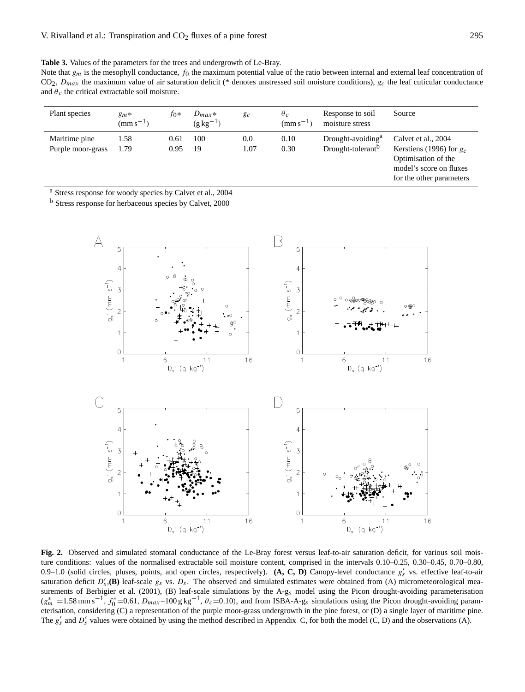**Table 3.** Values of the parameters for the trees and undergrowth of Le-Bray.

Note that  $g_m$  is the mesophyll conductance,  $f_0$  the maximum potential value of the ratio between internal and external leaf concentration of  $CO<sub>2</sub>$ ,  $D<sub>max</sub>$  the maximum value of air saturation deficit (\* denotes unstressed soil moisture conditions),  $g<sub>c</sub>$  the leaf cuticular conductance and  $\theta_c$  the critical extractable soil moisture.

| Plant species                      | $g_m*$<br>$(mm s^{-1})$ | to*          | $D_{max}$ *<br>$(g \, kg^{-1})$ | g <sub>c</sub> | $\theta_c$<br>$(mm s^{-1})$ | Response to soil<br>moisture stress                            | Source                                                                                                                          |
|------------------------------------|-------------------------|--------------|---------------------------------|----------------|-----------------------------|----------------------------------------------------------------|---------------------------------------------------------------------------------------------------------------------------------|
| Maritime pine<br>Purple moor-grass | 1.58<br>1.79            | 0.61<br>0.95 | 100<br>19                       | 0.0<br>1.07    | 0.10<br>0.30                | Drought-avoiding <sup>a</sup><br>Drought-tolerant <sup>b</sup> | Calvet et al., 2004<br>Kerstiens (1996) for $g_c$<br>Optimisation of the<br>model's score on fluxes<br>for the other parameters |

<sup>a</sup> Stress response for woody species by Calvet et al., 2004

<sup>b</sup> Stress response for herbaceous species by Calvet, 2000



**Fig. 2.** Observed and simulated stomatal conductance of the Le-Bray forest versus leaf-to-air saturation deficit, for various soil moisture conditions: values of the normalised extractable soil moisture content, comprised in the intervals 0.10–0.25, 0.30–0.45, 0.70–0.80, 0.9–1.0 (solid circles, pluses, points, and open circles, respectively).  $(A, C, D)$  Canopy-level conductance  $g'_s$  vs. effective leaf-to-air saturation deficit  $D'_s$ , (B) leaf-scale  $g_s$  vs.  $D_s$ . The observed and simulated estimates were obtained from (A) micrometeorological measurements of Berbigier et al. (2001), (B) leaf-scale simulations by the A-gs model using the Picon drought-avoiding parameterisation  $(g_m^* = 1.58 \text{ mm s}^{-1}, f_0^* = 0.61, D_{max} = 100 \text{ g kg}^{-1}, \theta_c = 0.10)$ , and from ISBA-A-g<sub>s</sub> simulations using the Picon drought-avoiding parameterisation, considering (C) a representation of the purple moor-grass undergrowth in the pine forest, or (D) a single layer of maritime pine. The  $g'_s$  and  $D'_s$  values were obtained by using the method described in Appendix C, for both the model (C, D) and the observations (A).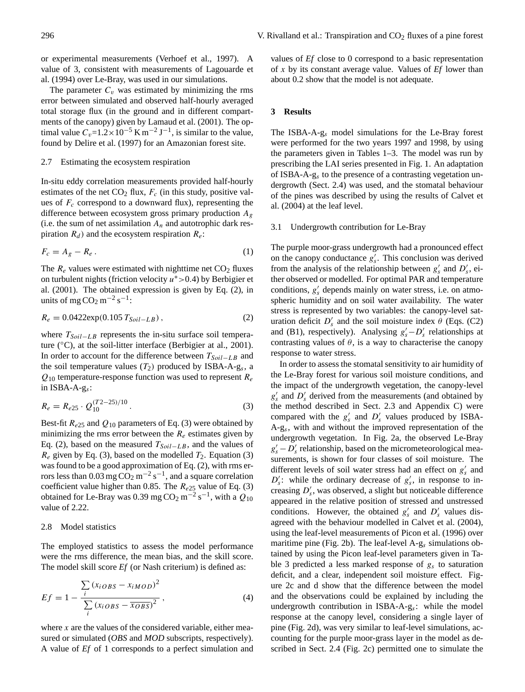or experimental measurements (Verhoef et al., 1997). A value of 3, consistent with measurements of Lagouarde et al. (1994) over Le-Bray, was used in our simulations.

The parameter  $C_v$  was estimated by minimizing the rms error between simulated and observed half-hourly averaged total storage flux (in the ground and in different compartments of the canopy) given by Lamaud et al. (2001). The optimal value  $C_v=1.2\times10^{-5}$  K m<sup>-2</sup> J<sup>-1</sup>, is similar to the value, found by Delire et al. (1997) for an Amazonian forest site.

#### 2.7 Estimating the ecosystem respiration

In-situ eddy correlation measurements provided half-hourly estimates of the net  $CO<sub>2</sub>$  flux,  $F<sub>c</sub>$  (in this study, positive values of  $F_c$  correspond to a downward flux), representing the difference between ecosystem gross primary production  $A_g$ (i.e. the sum of net assimilation  $A_n$  and autotrophic dark respiration  $R_d$ ) and the ecosystem respiration  $R_e$ :

$$
F_c = A_g - R_e \,. \tag{1}
$$

The  $R_e$  values were estimated with nighttime net  $CO<sub>2</sub>$  fluxes on turbulent nights (friction velocity  $u^* > 0.4$ ) by Berbigier et al. (2001). The obtained expression is given by Eq. (2), in units of mg  $CO<sub>2</sub> m<sup>-2</sup> s<sup>-1</sup>$ :

$$
R_e = 0.0422 \exp(0.105 T_{Soil-LB}), \qquad (2)
$$

where  $T_{Soil-LB}$  represents the in-situ surface soil temperature  $(^{\circ}C)$ , at the soil-litter interface (Berbigier at al., 2001). In order to account for the difference between  $T_{Soil-LB}$  and the soil temperature values  $(T_2)$  produced by ISBA-A-g<sub>s</sub>, a  $Q_{10}$  temperature-response function was used to represent  $R_e$ in  $ISBA-A-g<sub>s</sub>$ :

$$
R_e = R_{e25} \cdot Q_{10}^{(T2 - 25)/10} \,. \tag{3}
$$

Best-fit  $R_{e25}$  and  $Q_{10}$  parameters of Eq. (3) were obtained by minimizing the rms error between the  $R_e$  estimates given by Eq. (2), based on the measured  $T_{Soil-LB}$ , and the values of  $R_e$  given by Eq. (3), based on the modelled  $T_2$ . Equation (3) was found to be a good approximation of Eq. (2), with rms errors less than 0.03 mg  $CO_2$  m<sup>-2</sup> s<sup>-1</sup>, and a square correlation coefficient value higher than 0.85. The  $R_{e25}$  value of Eq. (3) obtained for Le-Bray was 0.39 mg CO<sub>2</sub> m<sup>-2</sup> s<sup>-1</sup>, with a  $Q_{10}$ value of 2.22.

## 2.8 Model statistics

The employed statistics to assess the model performance were the rms difference, the mean bias, and the skill score. The model skill score *Ef* (or Nash criterium) is defined as:

Ef = 1 − P i (xiOBS − xiMOD) 2 P i (xiOBS − xOBS) 2 , (4)

where  $x$  are the values of the considered variable, either measured or simulated (*OBS* and *MOD* subscripts, respectively). A value of *Ef* of 1 corresponds to a perfect simulation and values of *Ef* close to 0 correspond to a basic representation of x by its constant average value. Values of *Ef* lower than about 0.2 show that the model is not adequate.

#### **3 Results**

The ISBA-A-g<sup>s</sup> model simulations for the Le-Bray forest were performed for the two years 1997 and 1998, by using the parameters given in Tables 1–3. The model was run by prescribing the LAI series presented in Fig. 1. An adaptation of ISBA-A-g<sup>s</sup> to the presence of a contrasting vegetation undergrowth (Sect. 2.4) was used, and the stomatal behaviour of the pines was described by using the results of Calvet et al. (2004) at the leaf level.

#### 3.1 Undergrowth contribution for Le-Bray

The purple moor-grass undergrowth had a pronounced effect on the canopy conductance  $g'_{s}$ . This conclusion was derived from the analysis of the relationship between  $g'_{s}$  and  $D'_{s}$ , either observed or modelled. For optimal PAR and temperature conditions,  $g'_{s}$  depends mainly on water stress, i.e. on atmospheric humidity and on soil water availability. The water stress is represented by two variables: the canopy-level saturation deficit  $D'_s$  and the soil moisture index  $\theta$  (Eqs. (C2) and (B1), respectively). Analysing  $g'_{s} - D'_{s}$  relationships at contrasting values of  $\theta$ , is a way to characterise the canopy response to water stress.

In order to assess the stomatal sensitivity to air humidity of the Le-Bray forest for various soil moisture conditions, and the impact of the undergrowth vegetation, the canopy-level  $g'_{s}$  and  $D'_{s}$  derived from the measurements (and obtained by the method described in Sect. 2.3 and Appendix C) were compared with the  $g'_{s}$  and  $D'_{s}$  values produced by ISBA-A-g<sup>s</sup> , with and without the improved representation of the undergrowth vegetation. In Fig. 2a, the observed Le-Bray  $g'_s - D'_s$  relationship, based on the micrometeorological measurements, is shown for four classes of soil moisture. The different levels of soil water stress had an effect on  $g'_{s}$  and  $D'_s$ : while the ordinary decrease of  $g'_s$ , in response to increasing  $D'_s$ , was observed, a slight but noticeable difference appeared in the relative position of stressed and unstressed conditions. However, the obtained  $g'_{s}$  and  $D'_{s}$  values disagreed with the behaviour modelled in Calvet et al. (2004), using the leaf-level measurements of Picon et al. (1996) over maritime pine (Fig. 2b). The leaf-level  $A-g_s$  simulations obtained by using the Picon leaf-level parameters given in Table 3 predicted a less marked response of  $g_s$  to saturation deficit, and a clear, independent soil moisture effect. Figure 2c and d show that the difference between the model and the observations could be explained by including the undergrowth contribution in ISBA-A-g<sup>s</sup> : while the model response at the canopy level, considering a single layer of pine (Fig. 2d), was very similar to leaf-level simulations, accounting for the purple moor-grass layer in the model as described in Sect. 2.4 (Fig. 2c) permitted one to simulate the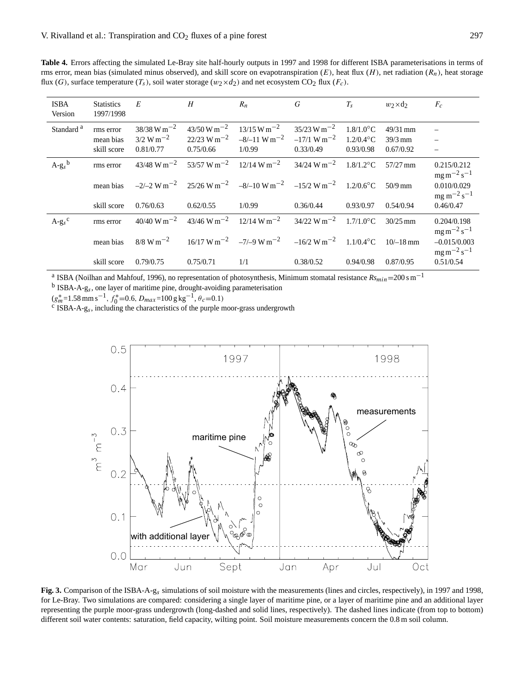**Table 4.** Errors affecting the simulated Le-Bray site half-hourly outputs in 1997 and 1998 for different ISBA parameterisations in terms of rms error, mean bias (simulated minus observed), and skill score on evapotranspiration  $(E)$ , heat flux  $(H)$ , net radiation  $(R_n)$ , heat storage flux (G), surface temperature  $(T_s)$ , soil water storage  $(w_2 \times d_2)$  and net ecosystem CO<sub>2</sub> flux ( $F_c$ ).

| <b>ISBA</b><br>Version | <b>Statistics</b><br>1997/1998        | E                                                                | H                                                          | $R_n$                                                                                                            | G                                                                  | $T_{\rm s}$                               | $w_2 \times d_2$                     | $F_c$                                   |
|------------------------|---------------------------------------|------------------------------------------------------------------|------------------------------------------------------------|------------------------------------------------------------------------------------------------------------------|--------------------------------------------------------------------|-------------------------------------------|--------------------------------------|-----------------------------------------|
| Standard <sup>a</sup>  | rms error<br>mean bias<br>skill score | $38/38$ W m <sup>-2</sup><br>$3/2 \text{ W m}^{-2}$<br>0.81/0.77 | $43/50 W m^{-2}$<br>$22/23$ W m <sup>-2</sup><br>0.75/0.66 | $13/15 \text{ W m}^{-2}$<br>$-8/-11$ W m <sup>-2</sup><br>1/0.99                                                 | $35/23 \text{ W m}^{-2}$<br>$-17/1$ W m <sup>-2</sup><br>0.33/0.49 | $1.8/1.0$ °C<br>$1.2/0.4$ °C<br>0.93/0.98 | $49/31$ mm<br>$39/3$ mm<br>0.67/0.92 |                                         |
| $A-g_s^b$              | rms error                             | $43/48$ W m <sup>-2</sup>                                        | $53/57$ W m <sup>-2</sup>                                  | $12/14 \text{ W m}^{-2}$                                                                                         | $34/24$ W m <sup>-2</sup>                                          | $1.8/1.2$ °C                              | $57/27$ mm                           | 0.215/0.212<br>$mg \, m^{-2} s^{-1}$    |
|                        | mean bias                             |                                                                  |                                                            | $-2/-2$ W m <sup>-2</sup> 25/26 W m <sup>-2</sup> $-8/-10$ W m <sup>-2</sup> $-15/2$ W m <sup>-2</sup> 1.2/0.6°C |                                                                    |                                           | $50/9$ mm                            | 0.010/0.029<br>$mg \, m^{-2} s^{-1}$    |
|                        | skill score                           | 0.76/0.63                                                        | 0.62/0.55                                                  | 1/0.99                                                                                                           | 0.36/0.44                                                          | 0.93/0.97                                 | 0.54/0.94                            | 0.46/0.47                               |
| $A-gs$ <sup>c</sup>    | rms error                             | $40/40 \text{ W m}^{-2}$                                         |                                                            | $43/46 \text{ W m}^{-2}$ 12/14 W m <sup>-2</sup> 34/22 W m <sup>-2</sup>                                         |                                                                    | $1.7/1.0$ °C                              | $30/25$ mm                           | 0.204/0.198<br>$mg \, m^{-2} s^{-1}$    |
|                        | mean bias                             | $8/8 \text{ W m}^{-2}$                                           |                                                            | $16/17 \text{ W m}^{-2}$ $-7/9 \text{ W m}^{-2}$ $-16/2 \text{ W m}^{-2}$ $1.1/0.4^{\circ}\text{C}$              |                                                                    |                                           | $10/-18$ mm                          | $-0.015/0.003$<br>$mg \, m^{-2} s^{-1}$ |
|                        | skill score                           | 0.79/0.75                                                        | 0.75/0.71                                                  | 1/1                                                                                                              | 0.38/0.52                                                          | 0.94/0.98                                 | 0.87/0.95                            | 0.51/0.54                               |

<sup>a</sup> ISBA (Noilhan and Mahfouf, 1996), no representation of photosynthesis, Minimum stomatal resistance  $Rs_{min}=200$  s m<sup>-1</sup>

 $<sup>b</sup>$  ISBA-A-g<sub>s</sub>, one layer of maritime pine, drought-avoiding parameterisation</sup>

 $(g_m^* = 1.58 \text{ mm s}^{-1}, f_0^* = 0.6, D_{max} = 100 \text{ g kg}^{-1}, \theta_c = 0.1)$ <br><sup>c</sup> ISBA-A-g<sub>s</sub>, including the characteristics of the purple moor-grass undergrowth



**Fig. 3.** Comparison of the ISBA-A-gs simulations of soil moisture with the measurements (lines and circles, respectively), in 1997 and 1998, for Le-Bray. Two simulations are compared: considering a single layer of maritime pine, or a layer of maritime pine and an additional layer representing the purple moor-grass undergrowth (long-dashed and solid lines, respectively). The dashed lines indicate (from top to bottom) different soil water contents: saturation, field capacity, wilting point. Soil moisture measurements concern the 0.8 m soil column.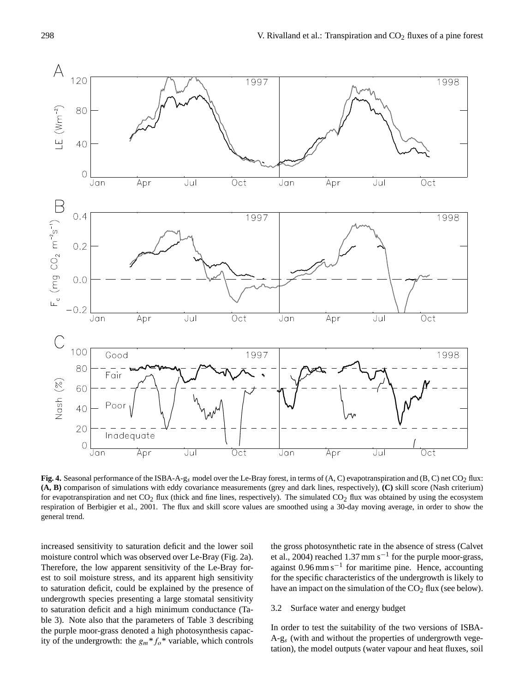

Fig. 4. Seasonal performance of the ISBA-A-gs model over the Le-Bray forest, in terms of (A, C) evapotranspiration and (B, C) net CO<sub>2</sub> flux: **(A, B)** comparison of simulations with eddy covariance measurements (grey and dark lines, respectively), **(C)** skill score (Nash criterium) for evapotranspiration and net  $CO_2$  flux (thick and fine lines, respectively). The simulated  $CO_2$  flux was obtained by using the ecosystem respiration of Berbigier et al., 2001. The flux and skill score values are smoothed using a 30-day moving average, in order to show the general trend.

increased sensitivity to saturation deficit and the lower soil moisture control which was observed over Le-Bray (Fig. 2a). Therefore, the low apparent sensitivity of the Le-Bray forest to soil moisture stress, and its apparent high sensitivity to saturation deficit, could be explained by the presence of undergrowth species presenting a large stomatal sensitivity to saturation deficit and a high minimum conductance (Table 3). Note also that the parameters of Table 3 describing the purple moor-grass denoted a high photosynthesis capacity of the undergrowth: the  $g_m * f_o *$  variable, which controls the gross photosynthetic rate in the absence of stress (Calvet et al., 2004) reached 1.37 mm s<sup>-1</sup> for the purple moor-grass, against 0.96 mm s−<sup>1</sup> for maritime pine. Hence, accounting for the specific characteristics of the undergrowth is likely to have an impact on the simulation of the  $CO<sub>2</sub>$  flux (see below).

## 3.2 Surface water and energy budget

In order to test the suitability of the two versions of ISBA- $A-g<sub>s</sub>$  (with and without the properties of undergrowth vegetation), the model outputs (water vapour and heat fluxes, soil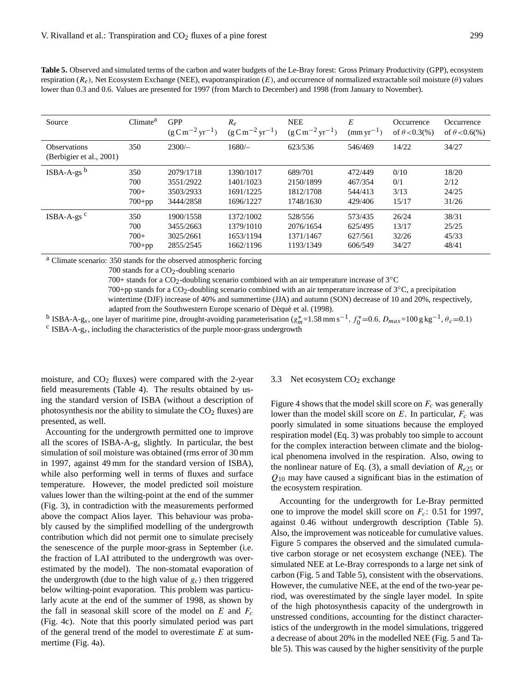| Source                                          | Climate <sup>a</sup>             | <b>GPP</b><br>$(g C m^{-2} yr^{-1})$             | $R_e$<br>$(g C m^{-2} yr^{-1})$                  | <b>NEE</b><br>$(g \text{ C m}^{-2} \text{ yr}^{-1})$ | E<br>$\text{(mm yr}^{-1})$               | Occurrence<br>of $\theta$ < 0.3(%) | Occurrence<br>of $\theta < 0.6$ (%) |
|-------------------------------------------------|----------------------------------|--------------------------------------------------|--------------------------------------------------|------------------------------------------------------|------------------------------------------|------------------------------------|-------------------------------------|
| <b>Observations</b><br>(Berbigier et al., 2001) | 350                              | $2300/-$                                         | $1680/-$                                         | 623/536                                              | 546/469                                  | 14/22                              | 34/27                               |
| $ISBN-A-gsb$                                    | 350<br>700<br>$700+$<br>$700+pp$ | 2079/1718<br>3551/2922<br>3503/2933<br>3444/2858 | 1390/1017<br>1401/1023<br>1691/1225<br>1696/1227 | 689/701<br>2150/1899<br>1812/1708<br>1748/1630       | 472/449<br>467/354<br>544/413<br>429/406 | 0/10<br>0/1<br>3/13<br>15/17       | 18/20<br>2/12<br>24/25<br>31/26     |
| $ISBN-A-gsc$                                    | 350<br>700<br>$700+$<br>$700+pp$ | 1900/1558<br>3455/2663<br>3025/2661<br>2855/2545 | 1372/1002<br>1379/1010<br>1653/1194<br>1662/1196 | 528/556<br>2076/1654<br>1371/1467<br>1193/1349       | 573/435<br>625/495<br>627/561<br>606/549 | 26/24<br>13/17<br>32/26<br>34/27   | 38/31<br>25/25<br>45/33<br>48/41    |

**Table 5.** Observed and simulated terms of the carbon and water budgets of the Le-Bray forest: Gross Primary Productivity (GPP), ecosystem respiration ( $R_e$ ), Net Ecosystem Exchange (NEE), evapotranspiration (E), and occurrence of normalized extractable soil moisture ( $\theta$ ) values lower than 0.3 and 0.6. Values are presented for 1997 (from March to December) and 1998 (from January to November).

<sup>a</sup> Climate scenario: 350 stands for the observed atmospheric forcing

700 stands for a  $CO<sub>2</sub>$ -doubling scenario

700+ stands for a CO<sub>2</sub>-doubling scenario combined with an air temperature increase of 3<sup>°</sup>C

700+pp stands for a CO<sub>2</sub>-doubling scenario combined with an air temperature increase of  $3°C$ , a precipitation

wintertime (DJF) increase of 40% and summertime (JJA) and autumn (SON) decrease of 10 and 20%, respectively, adapted from the Southwestern Europe scenario of Déqué et al. (1998).

<sup>b</sup> ISBA-A-g<sub>s</sub>, one layer of maritime pine, drought-avoiding parameterisation  $(g_m^* = 1.58 \text{ mm s}^{-1}, f_0^* = 0.6, D_{max} = 100 \text{ g kg}^{-1}, \theta_c = 0.1)$  $\text{c}$  ISBA-A-g<sub>s</sub>, including the characteristics of the purple moor-grass undergrowth

moisture, and  $CO<sub>2</sub>$  fluxes) were compared with the 2-year field measurements (Table 4). The results obtained by using the standard version of ISBA (without a description of photosynthesis nor the ability to simulate the  $CO<sub>2</sub>$  fluxes) are presented, as well.

Accounting for the undergrowth permitted one to improve all the scores of ISBA-A-g<sup>s</sup> slightly. In particular, the best simulation of soil moisture was obtained (rms error of 30 mm in 1997, against 49 mm for the standard version of ISBA), while also performing well in terms of fluxes and surface temperature. However, the model predicted soil moisture values lower than the wilting-point at the end of the summer (Fig. 3), in contradiction with the measurements performed above the compact Alios layer. This behaviour was probably caused by the simplified modelling of the undergrowth contribution which did not permit one to simulate precisely the senescence of the purple moor-grass in September (i.e. the fraction of LAI attributed to the undergrowth was overestimated by the model). The non-stomatal evaporation of the undergrowth (due to the high value of  $g_c$ ) then triggered below wilting-point evaporation. This problem was particularly acute at the end of the summer of 1998, as shown by the fall in seasonal skill score of the model on  $E$  and  $F_c$ (Fig. 4c). Note that this poorly simulated period was part of the general trend of the model to overestimate  $E$  at summertime (Fig. 4a).

#### 3.3 Net ecosystem  $CO<sub>2</sub>$  exchange

Figure 4 shows that the model skill score on  $F_c$  was generally lower than the model skill score on  $E$ . In particular,  $F_c$  was poorly simulated in some situations because the employed respiration model (Eq. 3) was probably too simple to account for the complex interaction between climate and the biological phenomena involved in the respiration. Also, owing to the nonlinear nature of Eq. (3), a small deviation of  $R_{e25}$  or  $Q_{10}$  may have caused a significant bias in the estimation of the ecosystem respiration.

Accounting for the undergrowth for Le-Bray permitted one to improve the model skill score on  $F_c$ : 0.51 for 1997, against 0.46 without undergrowth description (Table 5). Also, the improvement was noticeable for cumulative values. Figure 5 compares the observed and the simulated cumulative carbon storage or net ecosystem exchange (NEE). The simulated NEE at Le-Bray corresponds to a large net sink of carbon (Fig. 5 and Table 5), consistent with the observations. However, the cumulative NEE, at the end of the two-year period, was overestimated by the single layer model. In spite of the high photosynthesis capacity of the undergrowth in unstressed conditions, accounting for the distinct characteristics of the undergrowth in the model simulations, triggered a decrease of about 20% in the modelled NEE (Fig. 5 and Table 5). This was caused by the higher sensitivity of the purple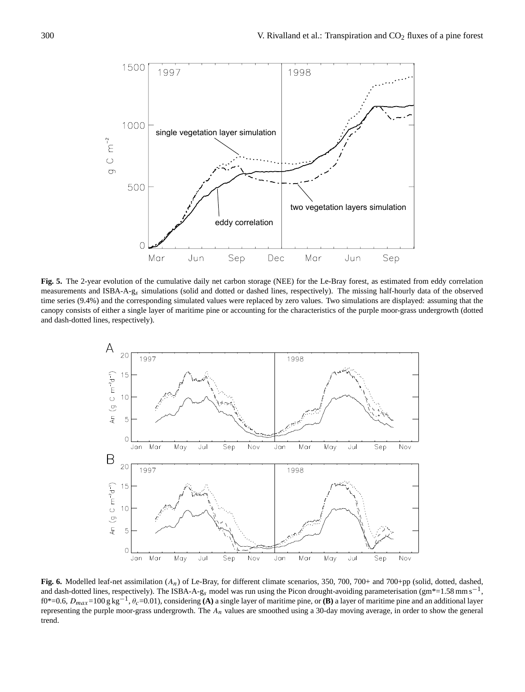

**Fig. 5.** The 2-year evolution of the cumulative daily net carbon storage (NEE) for the Le-Bray forest, as estimated from eddy correlation measurements and ISBA-A-gs simulations (solid and dotted or dashed lines, respectively). The missing half-hourly data of the observed time series (9.4%) and the corresponding simulated values were replaced by zero values. Two simulations are displayed: assuming that the canopy consists of either a single layer of maritime pine or accounting for the characteristics of the purple moor-grass undergrowth (dotted and dash-dotted lines, respectively).



**Fig. 6.** Modelled leaf-net assimilation (An) of Le-Bray, for different climate scenarios, 350, 700, 700+ and 700+pp (solid, dotted, dashed, and dash-dotted lines, respectively). The ISBA-A-g<sub>s</sub> model was run using the Picon drought-avoiding parameterisation (gm\*=1.58 mm s<sup>-1</sup>, f0\*=0.6,  $D_{max}$ =100 g kg<sup>-1</sup>,  $\theta_c$ =0.01), considering **(A)** a single layer of maritime pine, or **(B)** a layer of maritime pine and an additional layer representing the purple moor-grass undergrowth. The  $A_n$  values are smoothed using a 30-day moving average, in order to show the general trend.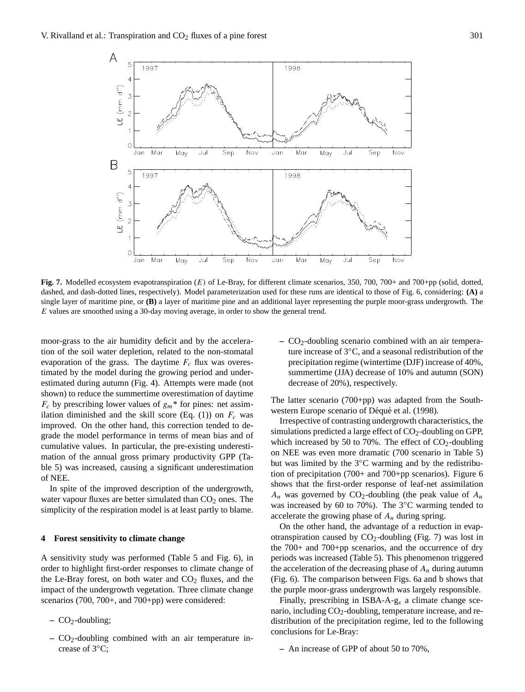

Fig. 7. Modelled ecosystem evapotranspiration (E) of Le-Bray, for different climate scenarios, 350, 700, 700+ and 700+pp (solid, dotted, dashed, and dash-dotted lines, respectively). Model parameterization used for these runs are identical to those of Fig. 6, considering: **(A)** a single layer of maritime pine, or **(B)** a layer of maritime pine and an additional layer representing the purple moor-grass undergrowth. The E values are smoothed using a 30-day moving average, in order to show the general trend.

moor-grass to the air humidity deficit and by the acceleration of the soil water depletion, related to the non-stomatal evaporation of the grass. The daytime  $F_c$  flux was overestimated by the model during the growing period and underestimated during autumn (Fig. 4). Attempts were made (not shown) to reduce the summertime overestimation of daytime  $F_c$  by prescribing lower values of  $g_m$ <sup>\*</sup> for pines: net assimilation diminished and the skill score (Eq. (1)) on  $F_c$  was improved. On the other hand, this correction tended to degrade the model performance in terms of mean bias and of cumulative values. In particular, the pre-existing underestimation of the annual gross primary productivity GPP (Table 5) was increased, causing a significant underestimation of NEE.

In spite of the improved description of the undergrowth, water vapour fluxes are better simulated than  $CO<sub>2</sub>$  ones. The simplicity of the respiration model is at least partly to blame.

## **4 Forest sensitivity to climate change**

A sensitivity study was performed (Table 5 and Fig. 6), in order to highlight first-order responses to climate change of the Le-Bray forest, on both water and  $CO<sub>2</sub>$  fluxes, and the impact of the undergrowth vegetation. Three climate change scenarios (700, 700+, and 700+pp) were considered:

- **–** CO2-doubling;
- **–** CO2-doubling combined with an air temperature increase of 3◦C;

**–** CO2-doubling scenario combined with an air temperature increase of 3◦C, and a seasonal redistribution of the precipitation regime (wintertime (DJF) increase of 40%, summertime (JJA) decrease of 10% and autumn (SON) decrease of 20%), respectively.

The latter scenario (700+pp) was adapted from the Southwestern Europe scenario of Déqué et al. (1998).

Irrespective of contrasting undergrowth characteristics, the simulations predicted a large effect of  $CO<sub>2</sub>$ -doubling on GPP, which increased by 50 to 70%. The effect of  $CO<sub>2</sub>$ -doubling on NEE was even more dramatic (700 scenario in Table 5) but was limited by the 3◦C warming and by the redistribution of precipitation (700+ and 700+pp scenarios). Figure 6 shows that the first-order response of leaf-net assimilation  $A_n$  was governed by CO<sub>2</sub>-doubling (the peak value of  $A_n$ was increased by 60 to 70%). The 3◦C warming tended to accelerate the growing phase of  $A_n$  during spring.

On the other hand, the advantage of a reduction in evapotranspiration caused by  $CO<sub>2</sub>$ -doubling (Fig. 7) was lost in the 700+ and 700+pp scenarios, and the occurrence of dry periods was increased (Table 5). This phenomenon triggered the acceleration of the decreasing phase of  $A_n$  during autumn (Fig. 6). The comparison between Figs. 6a and b shows that the purple moor-grass undergrowth was largely responsible.

Finally, prescribing in ISBA-A- $g_s$  a climate change scenario, including  $CO<sub>2</sub>$ -doubling, temperature increase, and redistribution of the precipitation regime, led to the following conclusions for Le-Bray:

**–** An increase of GPP of about 50 to 70%,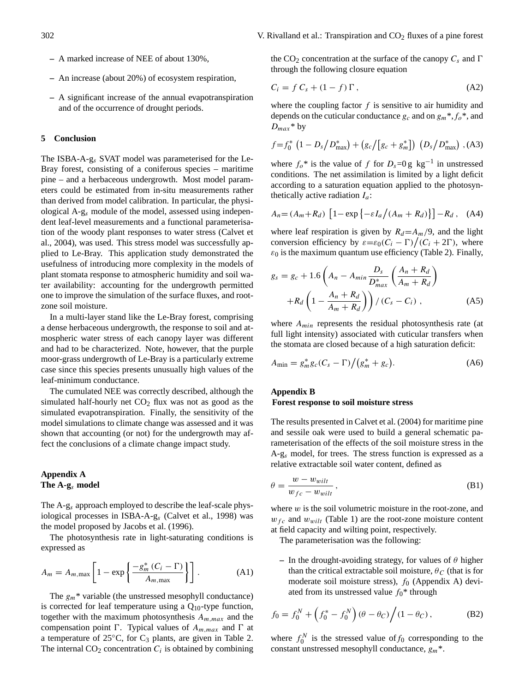- **–** A marked increase of NEE of about 130%,
- **–** An increase (about 20%) of ecosystem respiration,
- **–** A significant increase of the annual evapotranspiration and of the occurrence of drought periods.

#### **5 Conclusion**

The ISBA-A-g<sup>s</sup> SVAT model was parameterised for the Le-Bray forest, consisting of a coniferous species – maritime pine – and a herbaceous undergrowth. Most model parameters could be estimated from in-situ measurements rather than derived from model calibration. In particular, the physiological A-g<sup>s</sup> module of the model, assessed using independent leaf-level measurements and a functional parameterisation of the woody plant responses to water stress (Calvet et al., 2004), was used. This stress model was successfully applied to Le-Bray. This application study demonstrated the usefulness of introducing more complexity in the models of plant stomata response to atmospheric humidity and soil water availability: accounting for the undergrowth permitted one to improve the simulation of the surface fluxes, and rootzone soil moisture.

In a multi-layer stand like the Le-Bray forest, comprising a dense herbaceous undergrowth, the response to soil and atmospheric water stress of each canopy layer was different and had to be characterized. Note, however, that the purple moor-grass undergrowth of Le-Bray is a particularly extreme case since this species presents unusually high values of the leaf-minimum conductance.

The cumulated NEE was correctly described, although the simulated half-hourly net  $CO<sub>2</sub>$  flux was not as good as the simulated evapotranspiration. Finally, the sensitivity of the model simulations to climate change was assessed and it was shown that accounting (or not) for the undergrowth may affect the conclusions of a climate change impact study.

## **Appendix A The A-g**<sup>s</sup> **model**

The A-g<sup>s</sup> approach employed to describe the leaf-scale physiological processes in ISBA-A-g<sup>s</sup> (Calvet et al., 1998) was the model proposed by Jacobs et al. (1996).

The photosynthesis rate in light-saturating conditions is expressed as

$$
A_m = A_{m,\max} \left[ 1 - \exp\left\{ \frac{-g_m^*(C_i - \Gamma)}{A_{m,\max}} \right\} \right].
$$
 (A1)

The  $g_m^*$  variable (the unstressed mesophyll conductance) is corrected for leaf temperature using a  $Q_{10}$ -type function, together with the maximum photosynthesis  $A_{m,max}$  and the compensation point  $\Gamma$ . Typical values of  $A_{m,max}$  and  $\Gamma$  at a temperature of 25 $\degree$ C, for C<sub>3</sub> plants, are given in Table 2. The internal  $CO_2$  concentration  $C_i$  is obtained by combining

the CO<sub>2</sub> concentration at the surface of the canopy  $C_s$  and  $\Gamma$ through the following closure equation

$$
C_i = f C_s + (1 - f) \Gamma, \tag{A2}
$$

where the coupling factor  $f$  is sensitive to air humidity and depends on the cuticular conductance  $g_c$  and on  $g_m^*, f_o^*,$  and  $D_{max}$ \* by

$$
f=f_0^* (1 - D_s/D_{\text{max}}^*) + (g_c/[g_c + g_m^*]) (D_s/D_{\text{max}}^*)
$$
, (A3)

where  $f_o^*$  is the value of f for  $D_s=0$  g kg<sup>-1</sup> in unstressed conditions. The net assimilation is limited by a light deficit according to a saturation equation applied to the photosynthetically active radiation  $I_a$ :

$$
A_n = (A_m + R_d) \left[ 1 - \exp\left\{-\varepsilon I_a / (A_m + R_d) \right\} \right] - R_d , \quad (A4)
$$

where leaf respiration is given by  $R_d = A_m/9$ , and the light conversion efficiency by  $\varepsilon = \varepsilon_0 (C_i - \Gamma) / (C_i + 2\Gamma)$ , where  $\varepsilon_0$  is the maximum quantum use efficiency (Table 2). Finally,

$$
g_s = g_c + 1.6\left(A_n - A_{min}\frac{D_s}{D_{max}^*}\left(\frac{A_n + R_d}{A_m + R_d}\right) + R_d\left(1 - \frac{A_n + R_d}{A_m + R_d}\right)\right) / (C_s - C_i),
$$
 (A5)

where  $A_{min}$  represents the residual photosynthesis rate (at full light intensity) associated with cuticular transfers when the stomata are closed because of a high saturation deficit:

$$
A_{\min} = g_m^* g_c (C_s - \Gamma) / (g_m^* + g_c).
$$
 (A6)

# **Appendix B Forest response to soil moisture stress**

The results presented in Calvet et al. (2004) for maritime pine and sessile oak were used to build a general schematic parameterisation of the effects of the soil moisture stress in the A-g<sub>s</sub> model, for trees. The stress function is expressed as a relative extractable soil water content, defined as

$$
\theta = \frac{w - w_{will}}{w_{fc} - w_{will}},\tag{B1}
$$

where  $w$  is the soil volumetric moisture in the root-zone, and  $w_{fc}$  and  $w_{will}$  (Table 1) are the root-zone moisture content at field capacity and wilting point, respectively.

The parameterisation was the following:

**–** In the drought-avoiding strategy, for values of  $\theta$  higher than the critical extractable soil moisture,  $\theta_C$  (that is for moderate soil moisture stress),  $f_0$  (Appendix A) deviated from its unstressed value  $f_0^*$  through

$$
f_0 = f_0^N + \left(f_0^* - f_0^N\right)(\theta - \theta_C) / (1 - \theta_C),
$$
 (B2)

where  $f_0^N$  is the stressed value of  $f_0$  corresponding to the constant unstressed mesophyll conductance,  $g_m^*$ .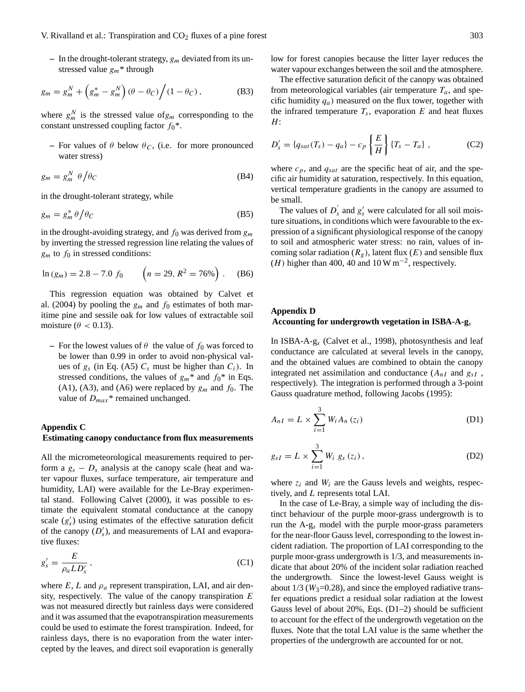$-$  In the drought-tolerant strategy,  $g_m$  deviated from its unstressed value  $g_m^*$  through

$$
g_m = g_m^N + \left(g_m^* - g_m^N\right)(\theta - \theta_C)\Big/ (1 - \theta_C)\,,\tag{B3}
$$

where  $g_m^N$  is the stressed value of  $g_m$  corresponding to the constant unstressed coupling factor  $f_0^*$ .

**–** For values of  $\theta$  below  $\theta_C$ , (i.e. for more pronounced water stress)

$$
g_m = g_m^N \ \theta / \theta_C \tag{B4}
$$

in the drought-tolerant strategy, while

$$
g_m = g_m^* \theta / \theta_C \tag{B5}
$$

in the drought-avoiding strategy, and  $f_0$  was derived from  $g_m$ by inverting the stressed regression line relating the values of  $g_m$  to  $f_0$  in stressed conditions:

$$
\ln{(g_m)} = 2.8 - 7.0 \ f_0 \qquad \left(n = 29, \ R^2 = 76\% \right). \tag{B6}
$$

This regression equation was obtained by Calvet et al. (2004) by pooling the  $g_m$  and  $f_0$  estimates of both maritime pine and sessile oak for low values of extractable soil moisture ( $\theta$  < 0.13).

**–** For the lowest values of  $\theta$  the value of  $f_0$  was forced to be lower than 0.99 in order to avoid non-physical values of  $g_s$  (in Eq. (A5)  $C_s$  must be higher than  $C_i$ ). In stressed conditions, the values of  $g_m^*$  and  $f_0^*$  in Eqs. (A1), (A3), and (A6) were replaced by  $g_m$  and  $f_0$ . The value of  $D_{max}$ <sup>\*</sup> remained unchanged.

## **Appendix C**

## **Estimating canopy conductance from flux measurements**

All the micrometeorological measurements required to perform a  $g_s - D_s$  analysis at the canopy scale (heat and water vapour fluxes, surface temperature, air temperature and humidity, LAI) were available for the Le-Bray experimental stand. Following Calvet (2000), it was possible to estimate the equivalent stomatal conductance at the canopy scale  $(g'_{s})$  using estimates of the effective saturation deficit of the canopy  $(D'_s)$ , and measurements of LAI and evaporative fluxes:

$$
g'_{s} = \frac{E}{\rho_a L D'_s},\tag{C1}
$$

where  $E, L$  and  $\rho_a$  represent transpiration, LAI, and air density, respectively. The value of the canopy transpiration  $E$ was not measured directly but rainless days were considered and it was assumed that the evapotranspiration measurements could be used to estimate the forest transpiration. Indeed, for rainless days, there is no evaporation from the water intercepted by the leaves, and direct soil evaporation is generally low for forest canopies because the litter layer reduces the water vapour exchanges between the soil and the atmosphere.

The effective saturation deficit of the canopy was obtained from meteorological variables (air temperature  $T_a$ , and specific humidity  $q_a$ ) measured on the flux tower, together with the infrared temperature  $T_s$ , evaporation  $E$  and heat fluxes  $H$ :

$$
D'_{s} = \{q_{sat}(T_{s}) - q_{a}\} - c_{p} \left\{\frac{E}{H}\right\} \{T_{s} - T_{a}\},
$$
 (C2)

where  $c_p$ , and  $q_{sat}$  are the specific heat of air, and the specific air humidity at saturation, respectively. In this equation, vertical temperature gradients in the canopy are assumed to be small.

The values of  $D_2$  $s'$  and  $g'$  were calculated for all soil moisture situations, in conditions which were favourable to the expression of a significant physiological response of the canopy to soil and atmospheric water stress: no rain, values of incoming solar radiation  $(R_g)$ , latent flux  $(E)$  and sensible flux (H) higher than 400, 40 and 10 W m<sup>-2</sup>, respectively.

## **Appendix D**

#### **Accounting for undergrowth vegetation in ISBA-A-g**<sup>s</sup>

In ISBA-A-g<sup>s</sup> (Calvet et al., 1998), photosynthesis and leaf conductance are calculated at several levels in the canopy, and the obtained values are combined to obtain the canopy integrated net assimilation and conductance  $(A_{nI}$  and  $g_{sI}$ , respectively). The integration is performed through a 3-point Gauss quadrature method, following Jacobs (1995):

$$
A_{nI} = L \times \sum_{i=1}^{3} W_i A_n(z_i)
$$
 (D1)

$$
g_{sI} = L \times \sum_{i=1}^{3} W_i g_s(z_i), \qquad (D2)
$$

where  $z_i$  and  $W_i$  are the Gauss levels and weights, respectively, and L represents total LAI.

In the case of Le-Bray, a simple way of including the distinct behaviour of the purple moor-grass undergrowth is to run the  $A-g_s$  model with the purple moor-grass parameters for the near-floor Gauss level, corresponding to the lowest incident radiation. The proportion of LAI corresponding to the purple moor-grass undergrowth is 1/3, and measurements indicate that about 20% of the incident solar radiation reached the undergrowth. Since the lowest-level Gauss weight is about  $1/3$  ( $W_3$ =0.28), and since the employed radiative transfer equations predict a residual solar radiation at the lowest Gauss level of about 20%, Eqs. (D1–2) should be sufficient to account for the effect of the undergrowth vegetation on the fluxes. Note that the total LAI value is the same whether the properties of the undergrowth are accounted for or not.